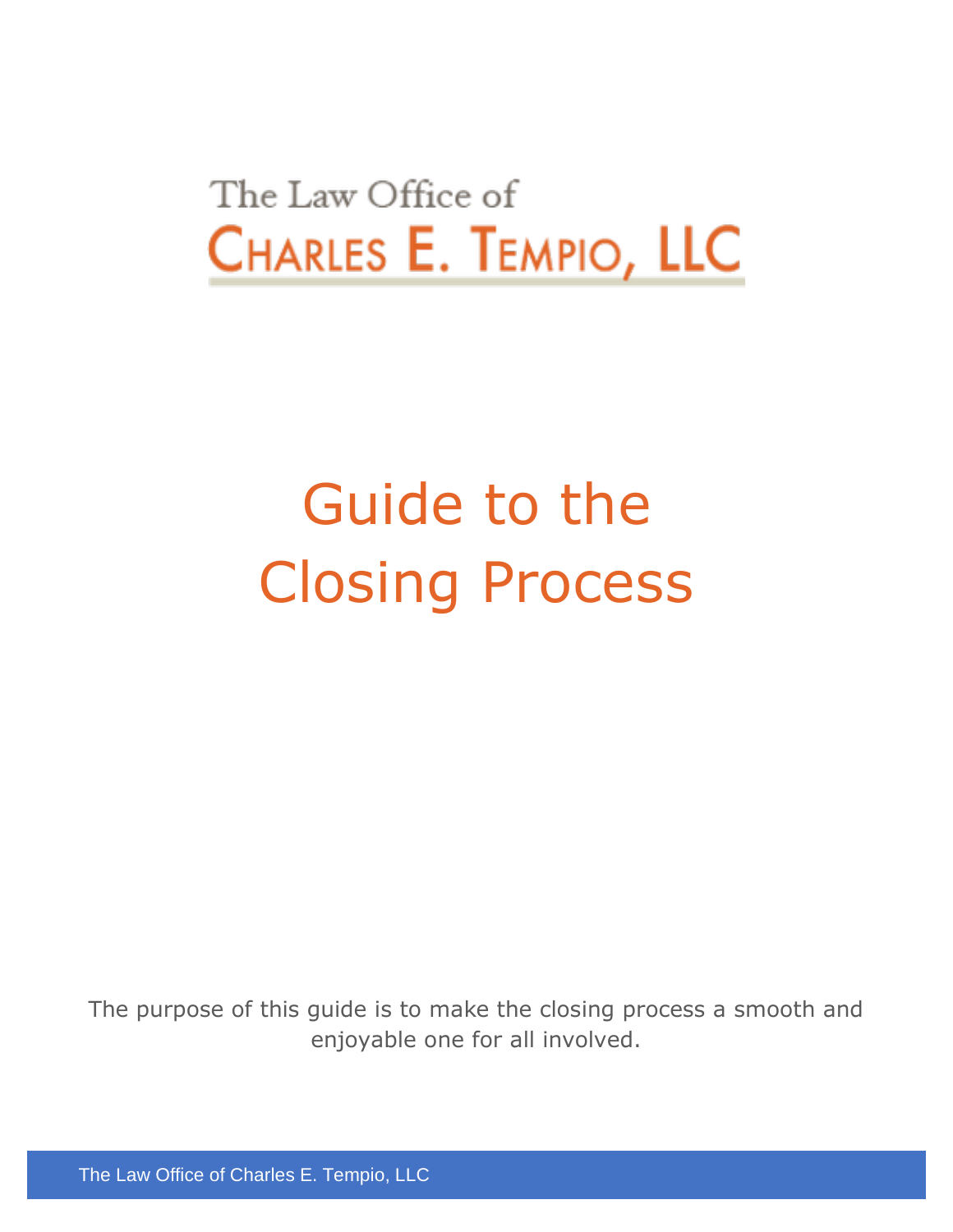## The Law Office of CHARLES E. TEMPIO, LLC

# Guide to the Closing Process

The purpose of this guide is to make the closing process a smooth and enjoyable one for all involved.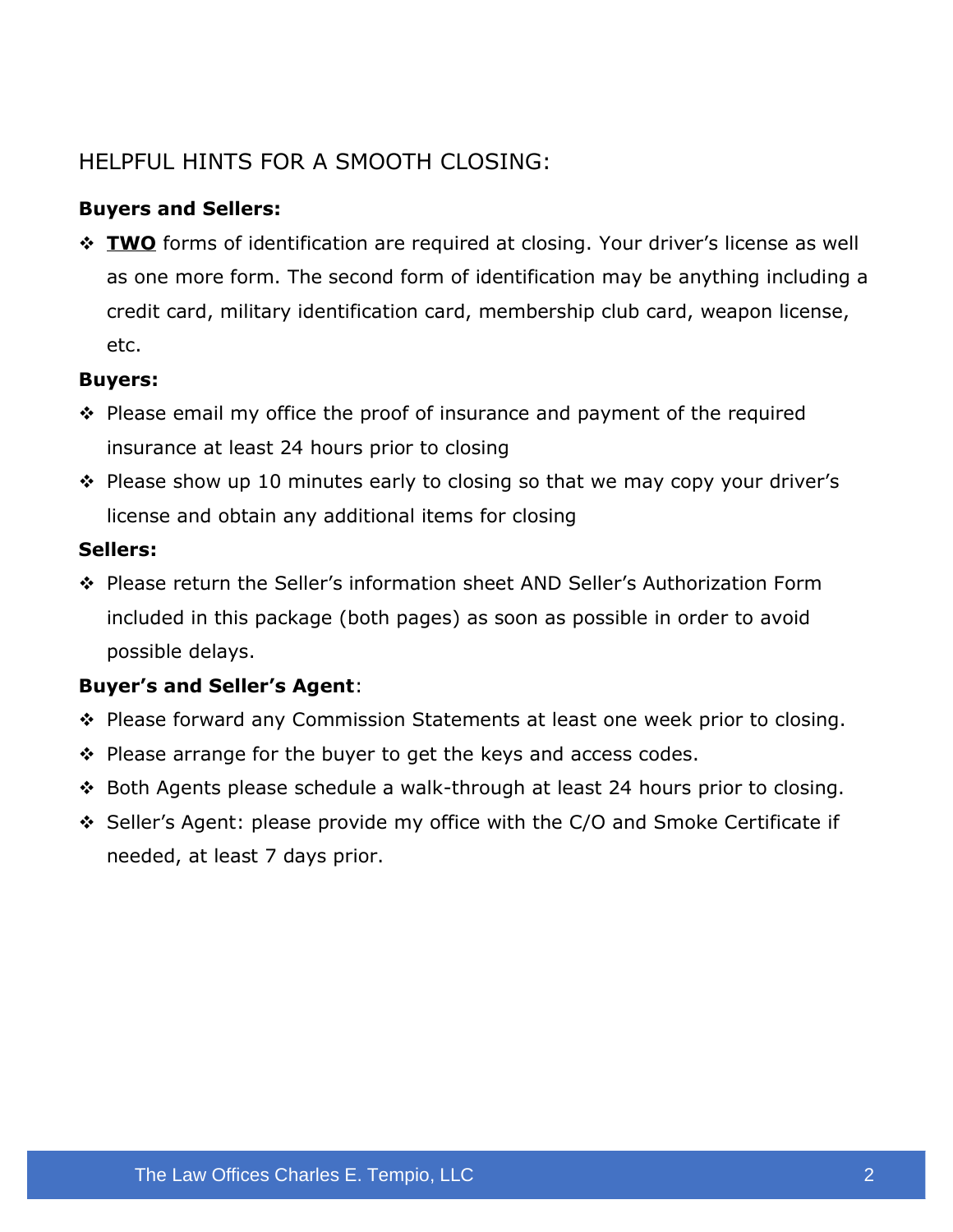#### HELPFUL HINTS FOR A SMOOTH CLOSING:

#### **Buyers and Sellers:**

❖ **TWO** forms of identification are required at closing. Your driver's license as well as one more form. The second form of identification may be anything including a credit card, military identification card, membership club card, weapon license, etc.

#### **Buyers:**

- ❖ Please email my office the proof of insurance and payment of the required insurance at least 24 hours prior to closing
- ❖ Please show up 10 minutes early to closing so that we may copy your driver's license and obtain any additional items for closing

#### **Sellers:**

❖ Please return the Seller's information sheet AND Seller's Authorization Form included in this package (both pages) as soon as possible in order to avoid possible delays.

#### **Buyer's and Seller's Agent**:

- ❖ Please forward any Commission Statements at least one week prior to closing.
- ❖ Please arrange for the buyer to get the keys and access codes.
- ❖ Both Agents please schedule a walk-through at least 24 hours prior to closing.
- ❖ Seller's Agent: please provide my office with the C/O and Smoke Certificate if needed, at least 7 days prior.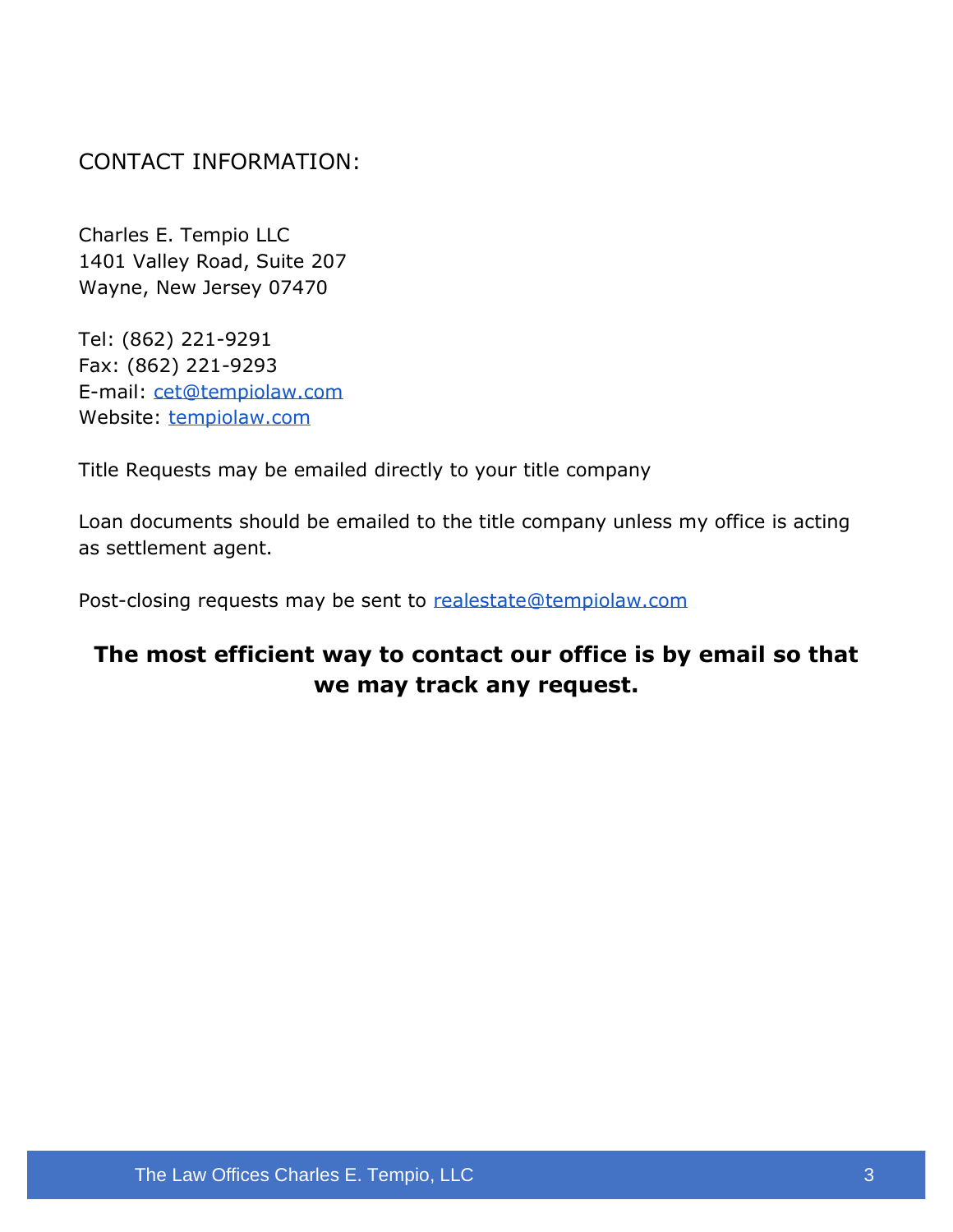CONTACT INFORMATION:

Charles E. Tempio LLC 1401 Valley Road, Suite 207 Wayne, New Jersey 07470

Tel: (862) 221-9291 Fax: (862) 221-9293 E-mail: [cet@tempiolaw.com](mailto:cet@tempiolaw.com) Website: [tempiolaw.com](https://www.tempiolaw.com/)

Title Requests may be emailed directly to your title company

Loan documents should be emailed to the title company unless my office is acting as settlement agent.

Post-closing requests may be sent to [realestate@tempiolaw.com](mailto:realestate@tempiolaw.com)

#### **The most efficient way to contact our office is by email so that we may track any request.**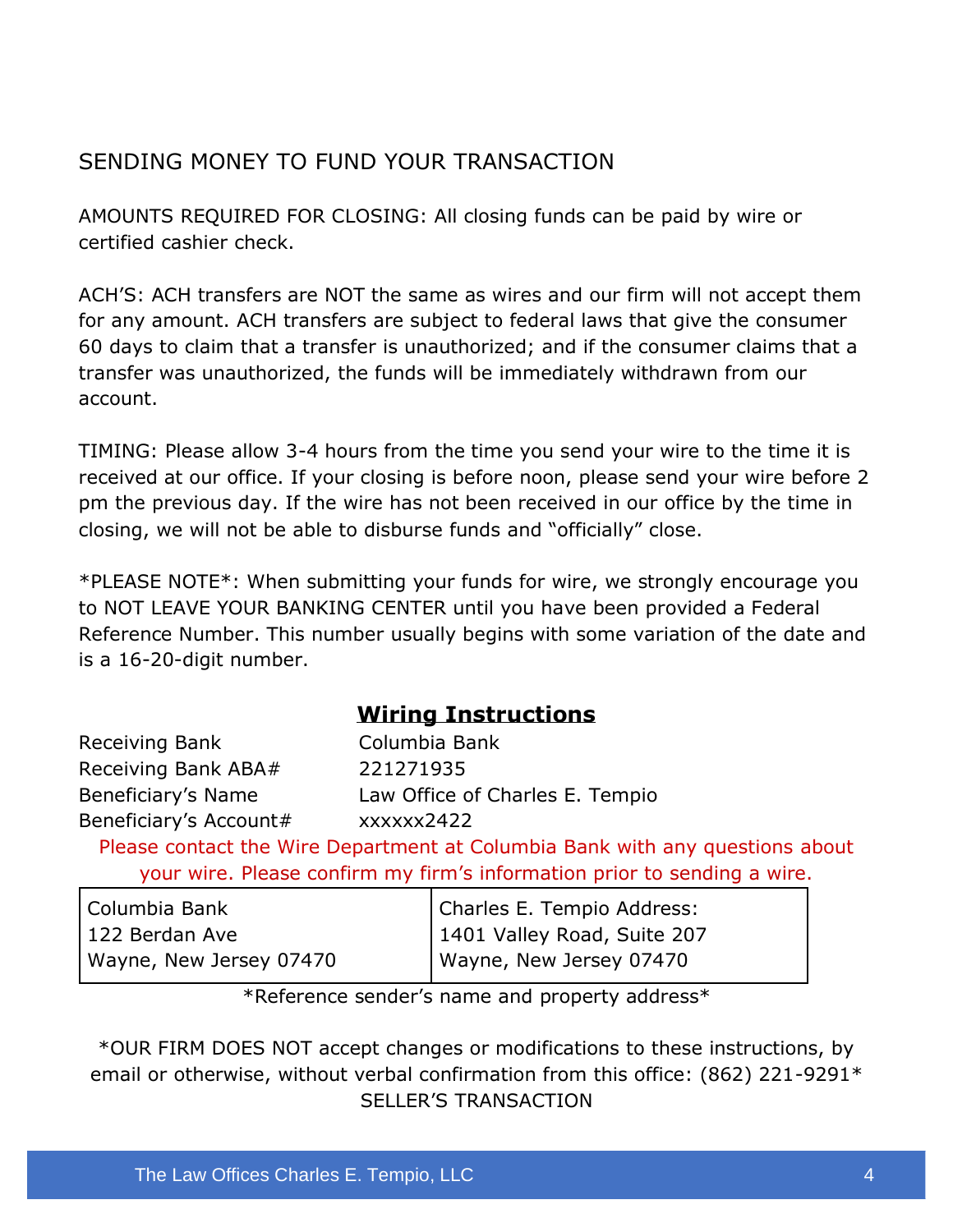#### SENDING MONEY TO FUND YOUR TRANSACTION

AMOUNTS REQUIRED FOR CLOSING: All closing funds can be paid by wire or certified cashier check.

ACH'S: ACH transfers are NOT the same as wires and our firm will not accept them for any amount. ACH transfers are subject to federal laws that give the consumer 60 days to claim that a transfer is unauthorized; and if the consumer claims that a transfer was unauthorized, the funds will be immediately withdrawn from our account.

TIMING: Please allow 3-4 hours from the time you send your wire to the time it is received at our office. If your closing is before noon, please send your wire before 2 pm the previous day. If the wire has not been received in our office by the time in closing, we will not be able to disburse funds and "officially" close.

\*PLEASE NOTE\*: When submitting your funds for wire, we strongly encourage you to NOT LEAVE YOUR BANKING CENTER until you have been provided a Federal Reference Number. This number usually begins with some variation of the date and is a 16-20-digit number.

#### **Wiring Instructions**

Receiving Bank Columbia Bank Receiving Bank ABA# 221271935 Beneficiary's Name Law Office of Charles E. Tempio Beneficiary's Account# xxxxxx2422

Please contact the Wire Department at Columbia Bank with any questions about your wire. Please confirm my firm's information prior to sending a wire.

| Columbia Bank           | Charles E. Tempio Address:  |
|-------------------------|-----------------------------|
| l 122 Berdan Ave        | 1401 Valley Road, Suite 207 |
| Wayne, New Jersey 07470 | Wayne, New Jersey 07470     |

\*Reference sender's name and property address\*

\*OUR FIRM DOES NOT accept changes or modifications to these instructions, by email or otherwise, without verbal confirmation from this office: (862) 221-9291\* SELLER'S TRANSACTION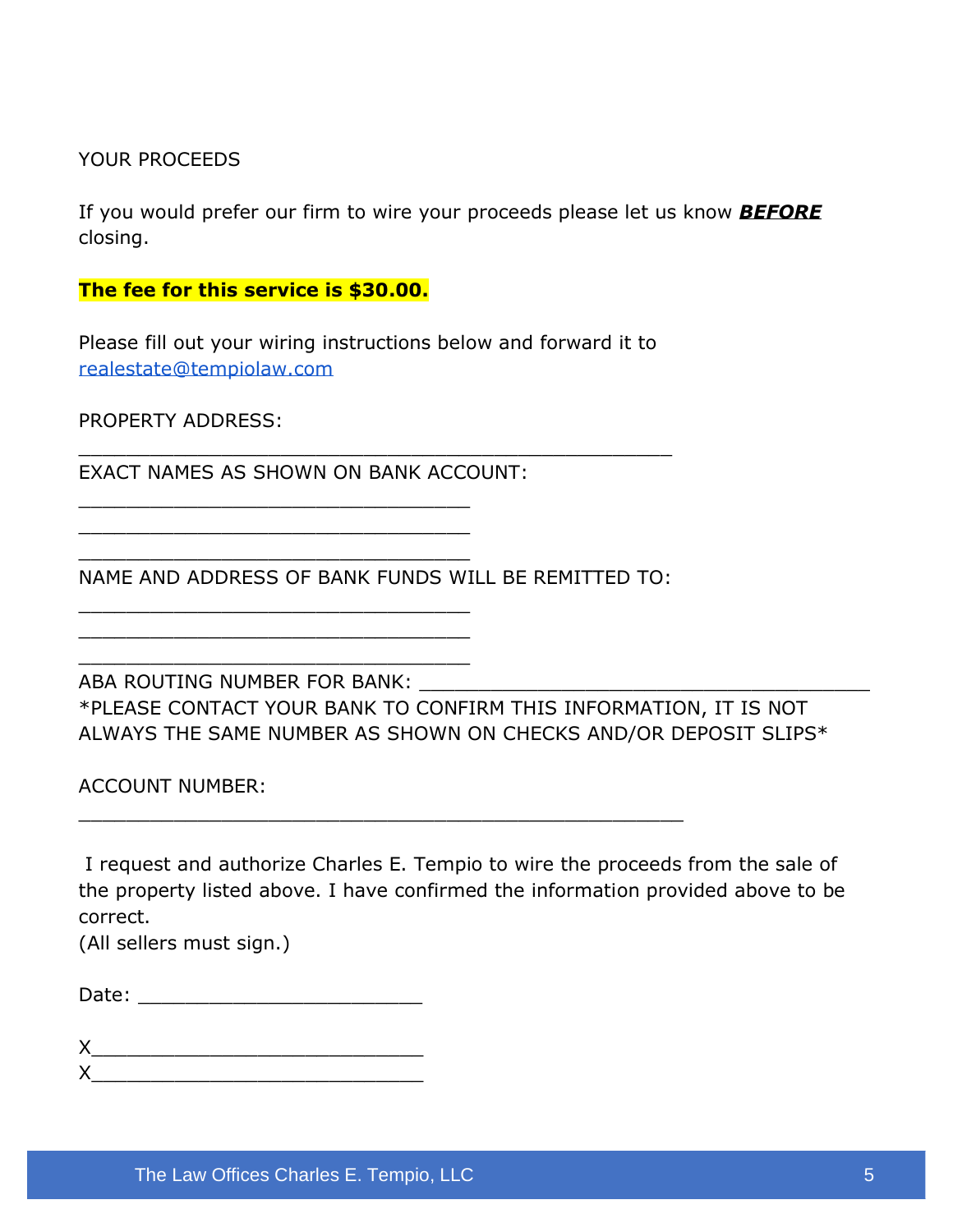YOUR PROCEEDS

If you would prefer our firm to wire your proceeds please let us know *BEFORE* closing.

**The fee for this service is \$30.00.**

Please fill out your wiring instructions below and forward it to [realestate@tempiolaw.com](mailto:realestate@tempiolaw.com)

\_\_\_\_\_\_\_\_\_\_\_\_\_\_\_\_\_\_\_\_\_\_\_\_\_\_\_\_\_\_\_\_\_\_\_\_\_\_\_\_\_\_\_\_\_\_\_\_\_\_

PROPERTY ADDRESS:

EXACT NAMES AS SHOWN ON BANK ACCOUNT:

\_\_\_\_\_\_\_\_\_\_\_\_\_\_\_\_\_\_\_\_\_\_\_\_\_\_\_\_\_\_\_\_\_ \_\_\_\_\_\_\_\_\_\_\_\_\_\_\_\_\_\_\_\_\_\_\_\_\_\_\_\_\_\_\_\_\_ \_\_\_\_\_\_\_\_\_\_\_\_\_\_\_\_\_\_\_\_\_\_\_\_\_\_\_\_\_\_\_\_\_

\_\_\_\_\_\_\_\_\_\_\_\_\_\_\_\_\_\_\_\_\_\_\_\_\_\_\_\_\_\_\_\_\_ \_\_\_\_\_\_\_\_\_\_\_\_\_\_\_\_\_\_\_\_\_\_\_\_\_\_\_\_\_\_\_\_\_ \_\_\_\_\_\_\_\_\_\_\_\_\_\_\_\_\_\_\_\_\_\_\_\_\_\_\_\_\_\_\_\_\_

NAME AND ADDRESS OF BANK FUNDS WILL BE REMITTED TO:

\_\_\_\_\_\_\_\_\_\_\_\_\_\_\_\_\_\_\_\_\_\_\_\_\_\_\_\_\_\_\_\_\_\_\_\_\_\_\_\_\_\_\_\_\_\_\_\_\_\_\_

ABA ROUTING NUMBER FOR BANK: \_\_\_\_\_\_ \*PLEASE CONTACT YOUR BANK TO CONFIRM THIS INFORMATION, IT IS NOT ALWAYS THE SAME NUMBER AS SHOWN ON CHECKS AND/OR DEPOSIT SLIPS\*

ACCOUNT NUMBER:

I request and authorize Charles E. Tempio to wire the proceeds from the sale of the property listed above. I have confirmed the information provided above to be correct.

(All sellers must sign.)

| Date: |  |  |  |  |
|-------|--|--|--|--|
|       |  |  |  |  |

| $\mathbf{v}$<br>↗ |  |  |  |
|-------------------|--|--|--|
| $\checkmark$<br>, |  |  |  |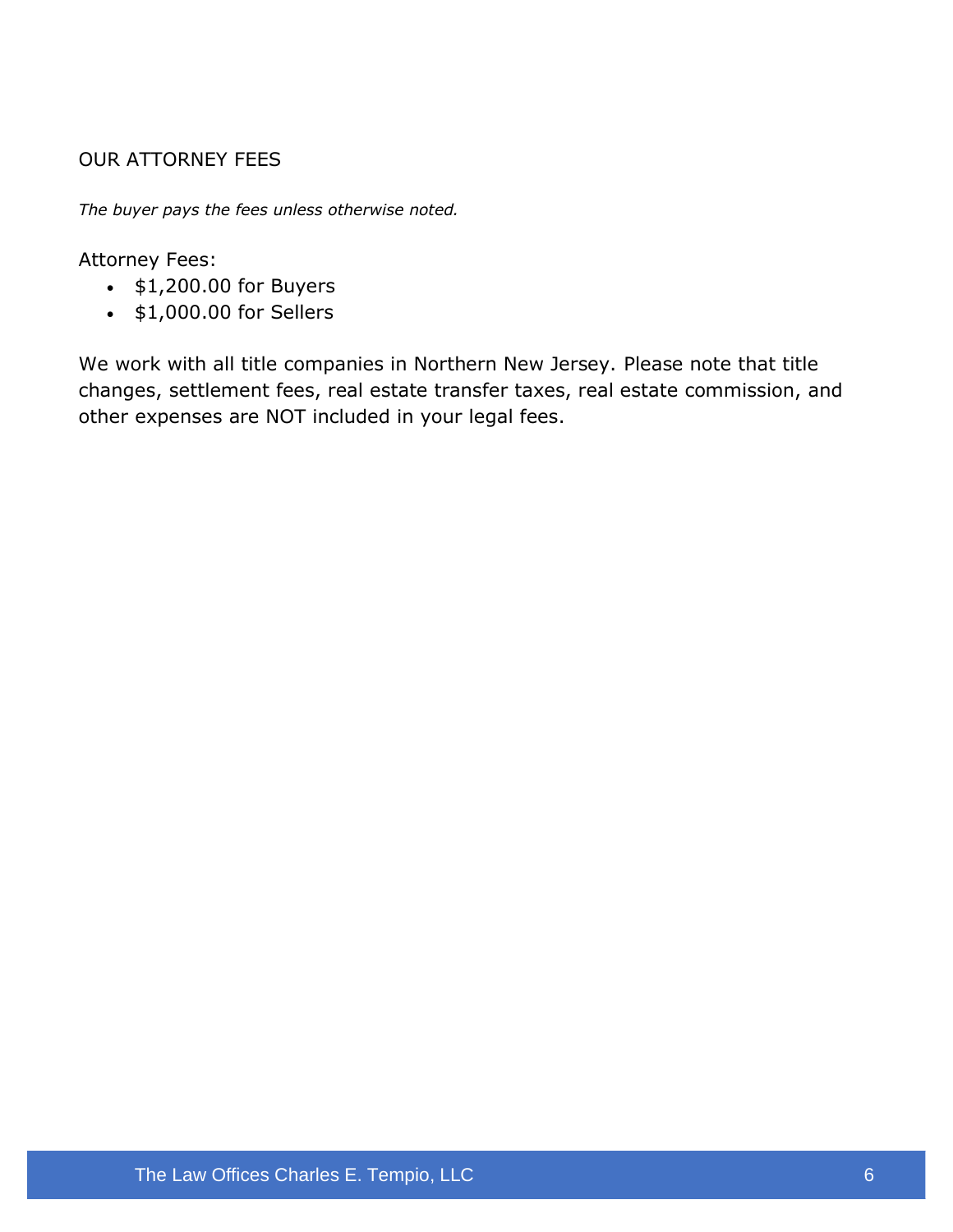#### OUR ATTORNEY FEES

*The buyer pays the fees unless otherwise noted.*

Attorney Fees:

- \$1,200.00 for Buyers
- \$1,000.00 for Sellers

We work with all title companies in Northern New Jersey. Please note that title changes, settlement fees, real estate transfer taxes, real estate commission, and other expenses are NOT included in your legal fees.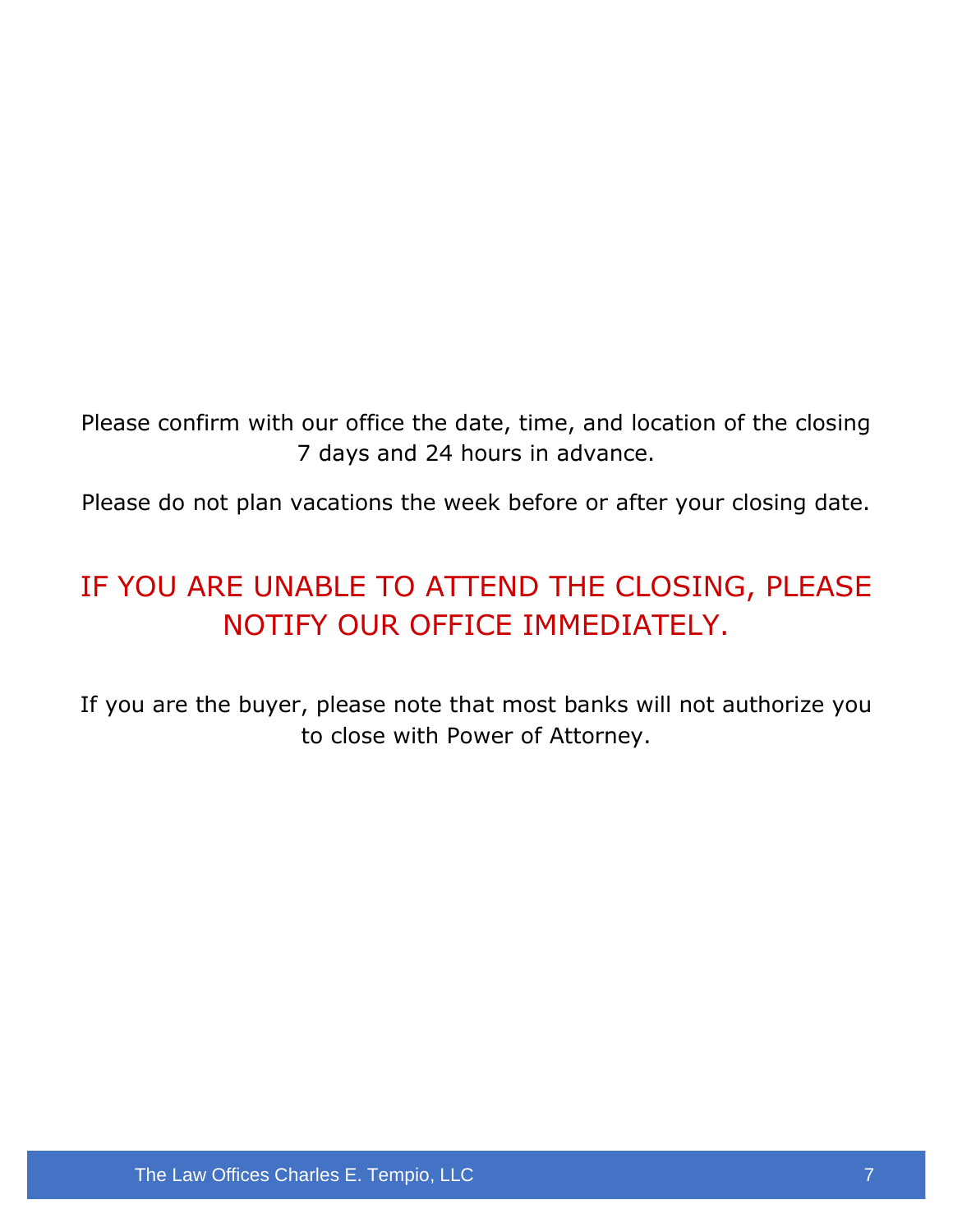Please confirm with our office the date, time, and location of the closing 7 days and 24 hours in advance.

Please do not plan vacations the week before or after your closing date.

### IF YOU ARE UNABLE TO ATTEND THE CLOSING, PLEASE NOTIFY OUR OFFICE IMMEDIATELY.

If you are the buyer, please note that most banks will not authorize you to close with Power of Attorney.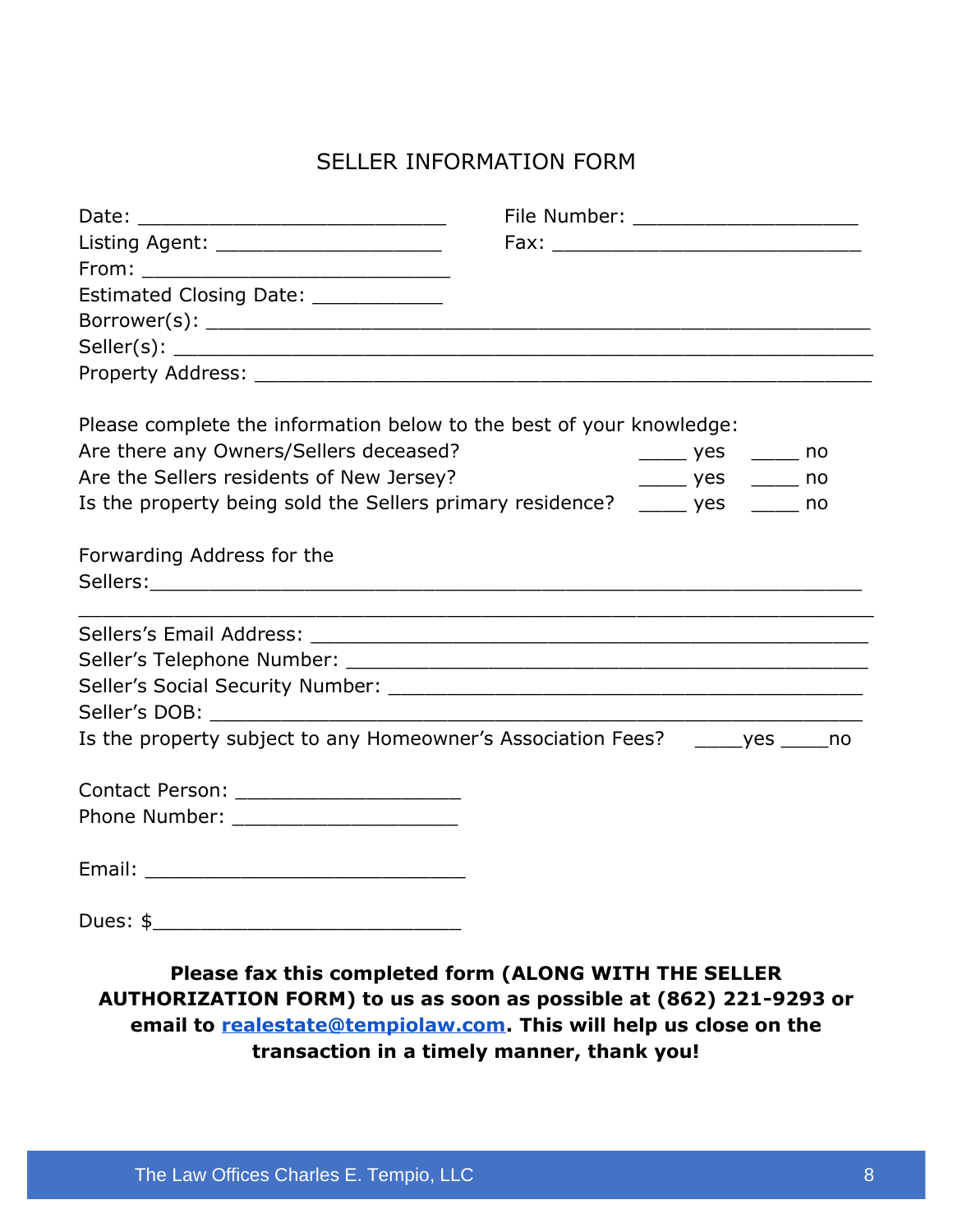#### SELLER INFORMATION FORM

| Date: ____________________________                                               |  | File Number: ______________________ |  |
|----------------------------------------------------------------------------------|--|-------------------------------------|--|
| Listing Agent: _______________________                                           |  |                                     |  |
|                                                                                  |  |                                     |  |
| Estimated Closing Date: ____________                                             |  |                                     |  |
|                                                                                  |  |                                     |  |
|                                                                                  |  |                                     |  |
|                                                                                  |  |                                     |  |
| Please complete the information below to the best of your knowledge:             |  |                                     |  |
| Are there any Owners/Sellers deceased?                                           |  | ________ yes _______ no             |  |
| Are the Sellers residents of New Jersey?                                         |  | ______ yes ______ no                |  |
| Is the property being sold the Sellers primary residence? _____ yes _____ no     |  |                                     |  |
| Forwarding Address for the                                                       |  |                                     |  |
|                                                                                  |  |                                     |  |
|                                                                                  |  |                                     |  |
|                                                                                  |  |                                     |  |
|                                                                                  |  |                                     |  |
|                                                                                  |  |                                     |  |
| Is the property subject to any Homeowner's Association Fees? ______ yes _____ no |  |                                     |  |
| Contact Person: ________________________                                         |  |                                     |  |
| Phone Number: _______________________                                            |  |                                     |  |
|                                                                                  |  |                                     |  |
| Dues: \$                                                                         |  |                                     |  |

**Please fax this completed form (ALONG WITH THE SELLER AUTHORIZATION FORM) to us as soon as possible at (862) 221-9293 or email to [realestate@tempiolaw.com.](mailto:realestate@tempiolaw.com) This will help us close on the transaction in a timely manner, thank you!**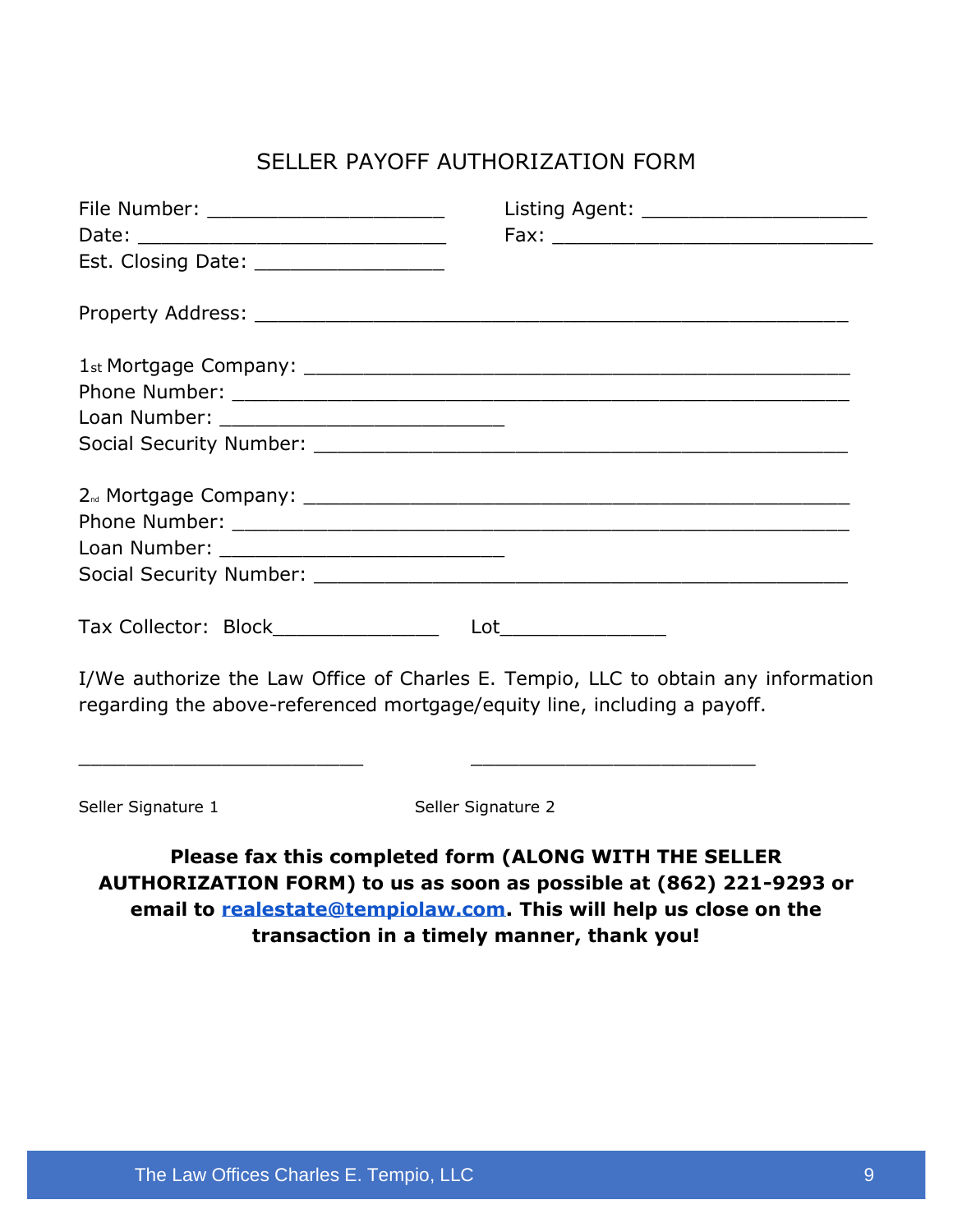#### SELLER PAYOFF AUTHORIZATION FORM

| File Number: ________________________                                    | Listing Agent: ______________________                                                |
|--------------------------------------------------------------------------|--------------------------------------------------------------------------------------|
| Date: _________________________________                                  | $Fax: \_$                                                                            |
| Est. Closing Date: _____________________                                 |                                                                                      |
|                                                                          |                                                                                      |
|                                                                          |                                                                                      |
|                                                                          |                                                                                      |
|                                                                          |                                                                                      |
|                                                                          |                                                                                      |
|                                                                          |                                                                                      |
|                                                                          |                                                                                      |
|                                                                          |                                                                                      |
|                                                                          |                                                                                      |
| Tax Collector: Block________________                                     | Lot___________________                                                               |
| regarding the above-referenced mortgage/equity line, including a payoff. | I/We authorize the Law Office of Charles E. Tempio, LLC to obtain any information    |
| Seller Signature 1                                                       | <u> 1989 - Johann Barbara, margaret eta idazlea (h. 1989).</u><br>Seller Signature 2 |

**Please fax this completed form (ALONG WITH THE SELLER AUTHORIZATION FORM) to us as soon as possible at (862) 221-9293 or email to [realestate@tempiolaw.com.](mailto:realestate@tempiolaw.com) This will help us close on the transaction in a timely manner, thank you!**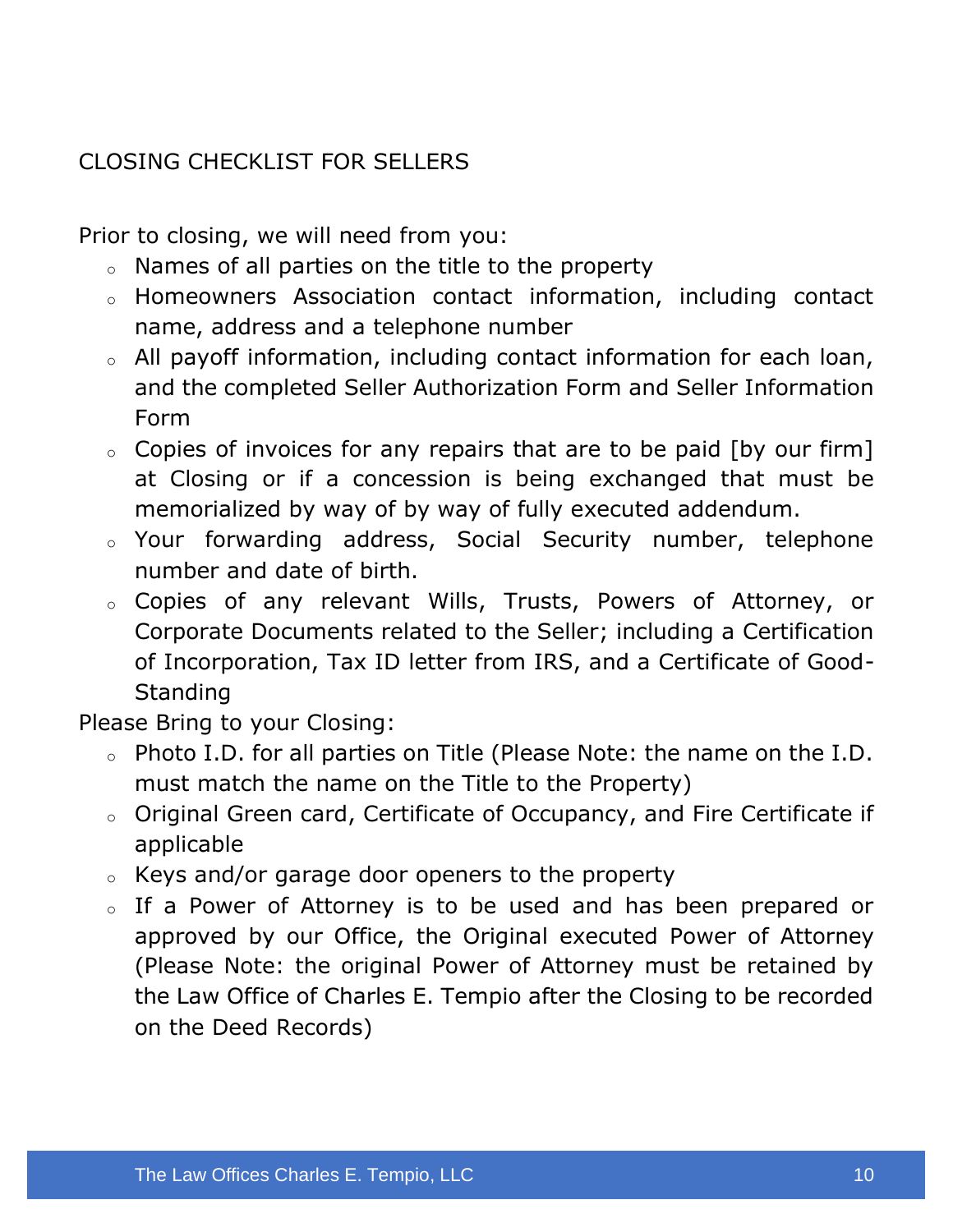#### CLOSING CHECKLIST FOR SELLERS

Prior to closing, we will need from you:

- $\circ$  Names of all parties on the title to the property
- o Homeowners Association contact information, including contact name, address and a telephone number
- o All payoff information, including contact information for each loan, and the completed Seller Authorization Form and Seller Information Form
- $\circ$  Copies of invoices for any repairs that are to be paid [by our firm] at Closing or if a concession is being exchanged that must be memorialized by way of by way of fully executed addendum.
- o Your forwarding address, Social Security number, telephone number and date of birth.
- o Copies of any relevant Wills, Trusts, Powers of Attorney, or Corporate Documents related to the Seller; including a Certification of Incorporation, Tax ID letter from IRS, and a Certificate of Good-**Standing**

Please Bring to your Closing:

- o Photo I.D. for all parties on Title (Please Note: the name on the I.D. must match the name on the Title to the Property)
- o Original Green card, Certificate of Occupancy, and Fire Certificate if applicable
- o Keys and/or garage door openers to the property
- o If a Power of Attorney is to be used and has been prepared or approved by our Office, the Original executed Power of Attorney (Please Note: the original Power of Attorney must be retained by the Law Office of Charles E. Tempio after the Closing to be recorded on the Deed Records)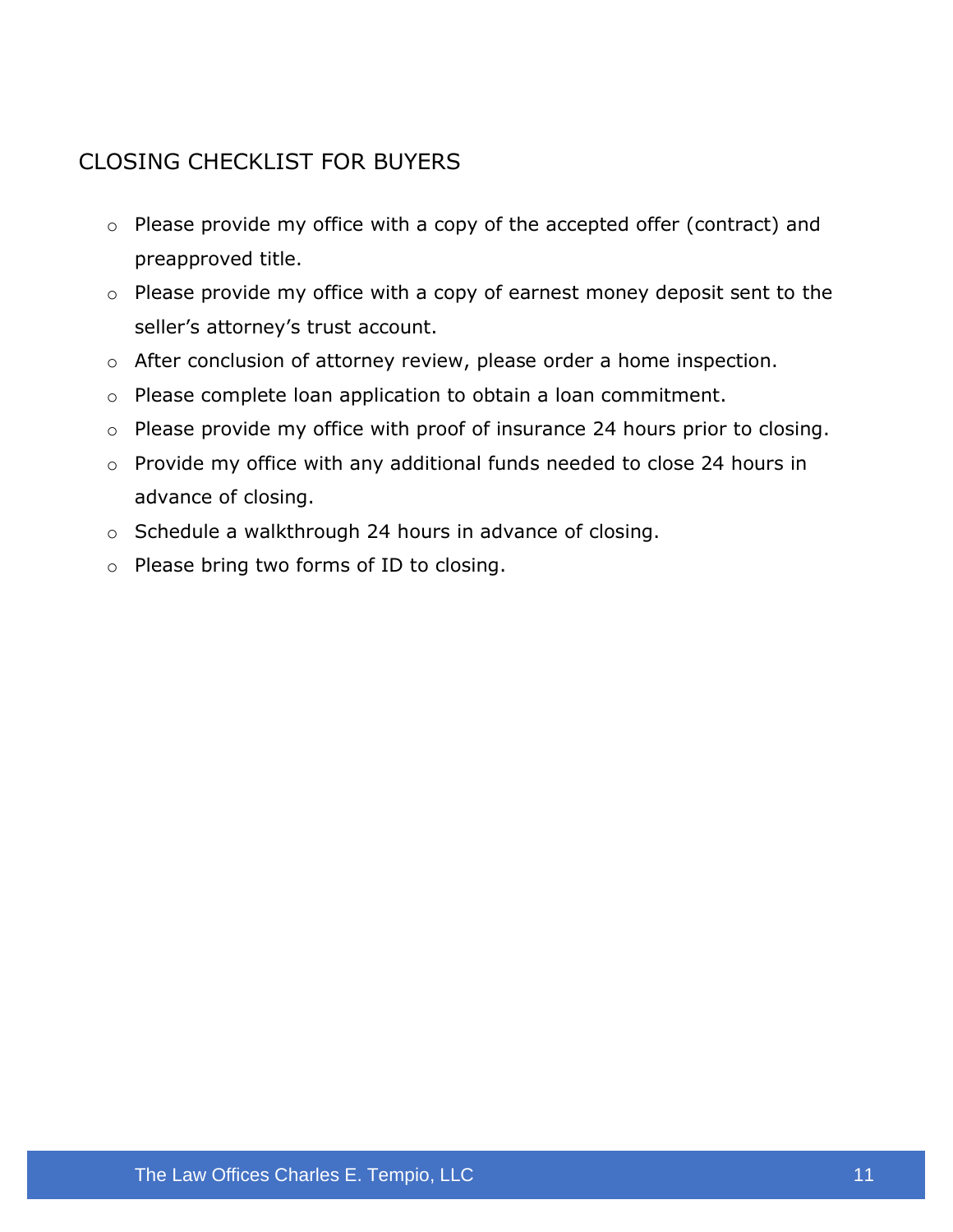#### CLOSING CHECKLIST FOR BUYERS

- o Please provide my office with a copy of the accepted offer (contract) and preapproved title.
- o Please provide my office with a copy of earnest money deposit sent to the seller's attorney's trust account.
- o After conclusion of attorney review, please order a home inspection.
- o Please complete loan application to obtain a loan commitment.
- o Please provide my office with proof of insurance 24 hours prior to closing.
- o Provide my office with any additional funds needed to close 24 hours in advance of closing.
- o Schedule a walkthrough 24 hours in advance of closing.
- o Please bring two forms of ID to closing.